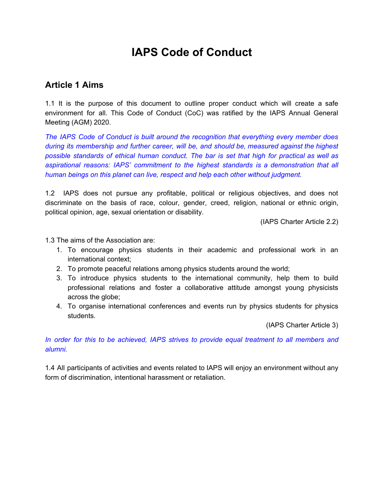# **IAPS Code of Conduct**

### **Article 1 Aims**

1.1 It is the purpose of this document to outline proper conduct which will create a safe environment for all. This Code of Conduct (CoC) was ratified by the IAPS Annual General Meeting (AGM) 2020.

*The IAPS Code of Conduct is built around the recognition that everything every member does during its membership and further career, will be, and should be, measured against the highest possible standards of ethical human conduct. The bar is set that high for practical as well as aspirational reasons: IAPS' commitment to the highest standards is a demonstration that all human beings on this planet can live, respect and help each other without judgment.*

1.2 IAPS does not pursue any profitable, political or religious objectives, and does not discriminate on the basis of race, colour, gender, creed, religion, national or ethnic origin, political opinion, age, sexual orientation or disability.

(IAPS Charter Article 2.2)

1.3 The aims of the Association are:

- 1. To encourage physics students in their academic and professional work in an international context;
- 2. To promote peaceful relations among physics students around the world;
- 3. To introduce physics students to the international community, help them to build professional relations and foster a collaborative attitude amongst young physicists across the globe;
- 4. To organise international conferences and events run by physics students for physics students.

(IAPS Charter Article 3)

*In order for this to be achieved, IAPS strives to provide equal treatment to all members and alumni.*

1.4 All participants of activities and events related to IAPS will enjoy an environment without any form of discrimination, intentional harassment or retaliation.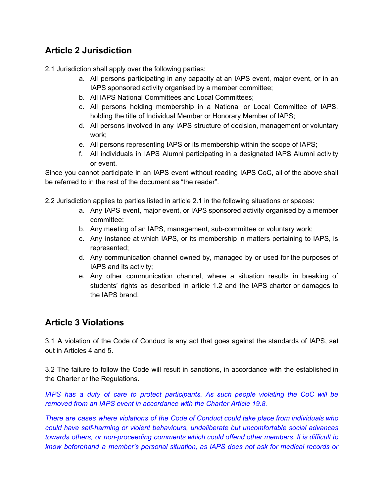# **Article 2 Jurisdiction**

2.1 Jurisdiction shall apply over the following parties:

- a. All persons participating in any capacity at an IAPS event, major event, or in an IAPS sponsored activity organised by a member committee;
- b. All IAPS National Committees and Local Committees;
- c. All persons holding membership in a National or Local Committee of IAPS, holding the title of Individual Member or Honorary Member of IAPS;
- d. All persons involved in any IAPS structure of decision, management or voluntary work;
- e. All persons representing IAPS or its membership within the scope of IAPS;
- f. All individuals in IAPS Alumni participating in a designated IAPS Alumni activity or event.

Since you cannot participate in an IAPS event without reading IAPS CoC, all of the above shall be referred to in the rest of the document as "the reader".

2.2 Jurisdiction applies to parties listed in article 2.1 in the following situations or spaces:

- a. Any IAPS event, major event, or IAPS sponsored activity organised by a member committee;
- b. Any meeting of an IAPS, management, sub-committee or voluntary work;
- c. Any instance at which IAPS, or its membership in matters pertaining to IAPS, is represented;
- d. Any communication channel owned by, managed by or used for the purposes of IAPS and its activity;
- e. Any other communication channel, where a situation results in breaking of students' rights as described in article 1.2 and the IAPS charter or damages to the IAPS brand.

# **Article 3 Violations**

3.1 A violation of the Code of Conduct is any act that goes against the standards of IAPS, set out in Articles 4 and 5.

3.2 The failure to follow the Code will result in sanctions, in accordance with the established in the Charter or the Regulations.

*IAPS has a duty of care to protect participants. As such people violating the CoC will be removed from an IAPS event in accordance with the Charter Article 19.8.*

*There are cases where violations of the Code of Conduct could take place from individuals who could have self-harming or violent behaviours, undeliberate but uncomfortable social advances towards others, or non-proceeding comments which could offend other members. It is difficult to know beforehand a member's personal situation, as IAPS does not ask for medical records or*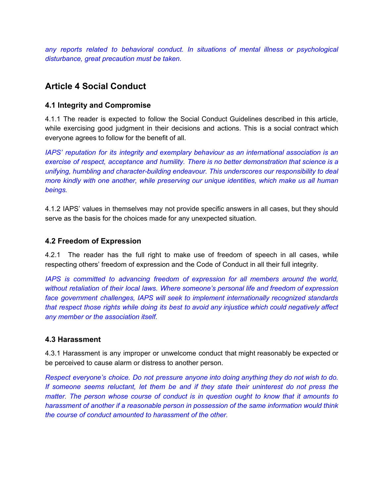*any reports related to behavioral conduct. In situations of mental illness or psychological disturbance, great precaution must be taken.*

# **Article 4 Social Conduct**

#### **4.1 Integrity and Compromise**

4.1.1 The reader is expected to follow the Social Conduct Guidelines described in this article, while exercising good judgment in their decisions and actions. This is a social contract which everyone agrees to follow for the benefit of all.

*IAPS' reputation for its integrity and exemplary behaviour as an international association is an exercise of respect, acceptance and humility. There is no better demonstration that science is a unifying, humbling and character-building endeavour. This underscores our responsibility to deal more kindly with one another, while preserving our unique identities, which make us all human beings.*

4.1.2 IAPS' values in themselves may not provide specific answers in all cases, but they should serve as the basis for the choices made for any unexpected situation.

#### **4.2 Freedom of Expression**

4.2.1 The reader has the full right to make use of freedom of speech in all cases, while respecting others' freedom of expression and the Code of Conduct in all their full integrity.

*IAPS is committed to advancing freedom of expression for all members around the world, without retaliation of their local laws. Where someone's personal life and freedom of expression face government challenges, IAPS will seek to implement internationally recognized standards that respect those rights while doing its best to avoid any injustice which could negatively affect any member or the association itself.*

#### **4.3 Harassment**

4.3.1 Harassment is any improper or unwelcome conduct that might reasonably be expected or be perceived to cause alarm or distress to another person.

*Respect everyone's choice. Do not pressure anyone into doing anything they do not wish to do. If someone seems reluctant, let them be and if they state their uninterest do not press the matter. The person whose course of conduct is in question ought to know that it amounts to harassment of another if a reasonable person in possession of the same information would think the course of conduct amounted to harassment of the other.*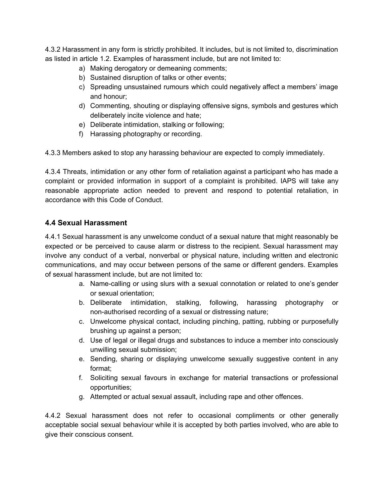4.3.2 Harassment in any form is strictly prohibited. It includes, but is not limited to, discrimination as listed in article 1.2. Examples of harassment include, but are not limited to:

- a) Making derogatory or demeaning comments;
- b) Sustained disruption of talks or other events;
- c) Spreading unsustained rumours which could negatively affect a members' image and honour;
- d) Commenting, shouting or displaying offensive signs, symbols and gestures which deliberately incite violence and hate;
- e) Deliberate intimidation, stalking or following;
- f) Harassing photography or recording.

4.3.3 Members asked to stop any harassing behaviour are expected to comply immediately.

4.3.4 Threats, intimidation or any other form of retaliation against a participant who has made a complaint or provided information in support of a complaint is prohibited. IAPS will take any reasonable appropriate action needed to prevent and respond to potential retaliation, in accordance with this Code of Conduct.

#### **4.4 Sexual Harassment**

4.4.1 Sexual harassment is any unwelcome conduct of a sexual nature that might reasonably be expected or be perceived to cause alarm or distress to the recipient. Sexual harassment may involve any conduct of a verbal, nonverbal or physical nature, including written and electronic communications, and may occur between persons of the same or different genders. Examples of sexual harassment include, but are not limited to:

- a. Name-calling or using slurs with a sexual connotation or related to one's gender or sexual orientation;
- b. Deliberate intimidation, stalking, following, harassing photography or non-authorised recording of a sexual or distressing nature;
- c. Unwelcome physical contact, including pinching, patting, rubbing or purposefully brushing up against a person;
- d. Use of legal or illegal drugs and substances to induce a member into consciously unwilling sexual submission;
- e. Sending, sharing or displaying unwelcome sexually suggestive content in any format;
- f. Soliciting sexual favours in exchange for material transactions or professional opportunities;
- g. Attempted or actual sexual assault, including rape and other offences.

4.4.2 Sexual harassment does not refer to occasional compliments or other generally acceptable social sexual behaviour while it is accepted by both parties involved, who are able to give their conscious consent.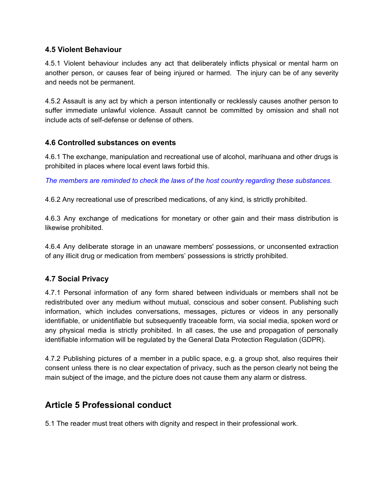#### **4.5 Violent Behaviour**

4.5.1 Violent behaviour includes any act that deliberately inflicts physical or mental harm on another person, or causes fear of being injured or harmed. The injury can be of any severity and needs not be permanent.

4.5.2 Assault is any act by which a person intentionally or recklessly causes another person to suffer immediate unlawful violence. Assault cannot be committed by omission and shall not include acts of self-defense or defense of others.

#### **4.6 Controlled substances on events**

4.6.1 The exchange, manipulation and recreational use of alcohol, marihuana and other drugs is prohibited in places where local event laws forbid this.

*The members are reminded to check the laws of the host country regarding these substances.*

4.6.2 Any recreational use of prescribed medications, of any kind, is strictly prohibited.

4.6.3 Any exchange of medications for monetary or other gain and their mass distribution is likewise prohibited.

4.6.4 Any deliberate storage in an unaware members' possessions, or unconsented extraction of any illicit drug or medication from members' possessions is strictly prohibited.

#### **4.7 Social Privacy**

4.7.1 Personal information of any form shared between individuals or members shall not be redistributed over any medium without mutual, conscious and sober consent. Publishing such information, which includes conversations, messages, pictures or videos in any personally identifiable, or unidentifiable but subsequently traceable form, via social media, spoken word or any physical media is strictly prohibited. In all cases, the use and propagation of personally identifiable information will be regulated by the General Data Protection Regulation (GDPR).

4.7.2 Publishing pictures of a member in a public space, e.g. a group shot, also requires their consent unless there is no clear expectation of privacy, such as the person clearly not being the main subject of the image, and the picture does not cause them any alarm or distress.

### **Article 5 Professional conduct**

5.1 The reader must treat others with dignity and respect in their professional work.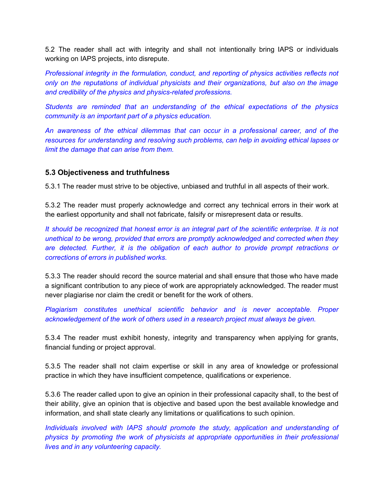5.2 The reader shall act with integrity and shall not intentionally bring IAPS or individuals working on IAPS projects, into disrepute.

*Professional integrity in the formulation, conduct, and reporting of physics activities reflects not only on the reputations of individual physicists and their organizations, but also on the image and credibility of the physics and physics-related professions.*

*Students are reminded that an understanding of the ethical expectations of the physics community is an important part of a physics education.*

*An awareness of the ethical dilemmas that can occur in a professional career, and of the resources for understanding and resolving such problems, can help in avoiding ethical lapses or limit the damage that can arise from them.*

#### **5.3 Objectiveness and truthfulness**

5.3.1 The reader must strive to be objective, unbiased and truthful in all aspects of their work.

5.3.2 The reader must properly acknowledge and correct any technical errors in their work at the earliest opportunity and shall not fabricate, falsify or misrepresent data or results.

It should be recognized that honest error is an integral part of the scientific enterprise. It is not *unethical to be wrong, provided that errors are promptly acknowledged and corrected when they are detected. Further, it is the obligation of each author to provide prompt retractions or corrections of errors in published works.*

5.3.3 The reader should record the source material and shall ensure that those who have made a significant contribution to any piece of work are appropriately acknowledged. The reader must never plagiarise nor claim the credit or benefit for the work of others.

*Plagiarism constitutes unethical scientific behavior and is never acceptable. Proper acknowledgement of the work of others used in a research project must always be given.*

5.3.4 The reader must exhibit honesty, integrity and transparency when applying for grants, financial funding or project approval.

5.3.5 The reader shall not claim expertise or skill in any area of knowledge or professional practice in which they have insufficient competence, qualifications or experience.

5.3.6 The reader called upon to give an opinion in their professional capacity shall, to the best of their ability, give an opinion that is objective and based upon the best available knowledge and information, and shall state clearly any limitations or qualifications to such opinion.

*Individuals involved with IAPS should promote the study, application and understanding of physics by promoting the work of physicists at appropriate opportunities in their professional lives and in any volunteering capacity.*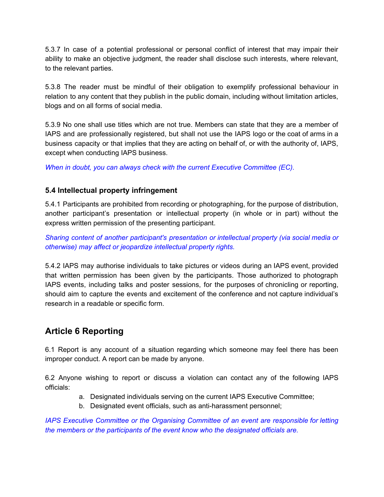5.3.7 In case of a potential professional or personal conflict of interest that may impair their ability to make an objective judgment, the reader shall disclose such interests, where relevant, to the relevant parties.

5.3.8 The reader must be mindful of their obligation to exemplify professional behaviour in relation to any content that they publish in the public domain, including without limitation articles, blogs and on all forms of social media.

5.3.9 No one shall use titles which are not true. Members can state that they are a member of IAPS and are professionally registered, but shall not use the IAPS logo or the coat of arms in a business capacity or that implies that they are acting on behalf of, or with the authority of, IAPS, except when conducting IAPS business.

*When in doubt, you can always check with the current Executive Committee (EC).*

#### **5.4 Intellectual property infringement**

5.4.1 Participants are prohibited from recording or photographing, for the purpose of distribution, another participant's presentation or intellectual property (in whole or in part) without the express written permission of the presenting participant.

*Sharing content of another participant's presentation or intellectual property (via social media or otherwise) may affect or jeopardize intellectual property rights.*

5.4.2 IAPS may authorise individuals to take pictures or videos during an IAPS event, provided that written permission has been given by the participants. Those authorized to photograph IAPS events, including talks and poster sessions, for the purposes of chronicling or reporting, should aim to capture the events and excitement of the conference and not capture individual's research in a readable or specific form.

### **Article 6 Reporting**

6.1 Report is any account of a situation regarding which someone may feel there has been improper conduct. A report can be made by anyone.

6.2 Anyone wishing to report or discuss a violation can contact any of the following IAPS officials:

- a. Designated individuals serving on the current IAPS Executive Committee;
- b. Designated event officials, such as anti-harassment personnel;

*IAPS Executive Committee or the Organising Committee of an event are responsible for letting the members or the participants of the event know who the designated officials are.*